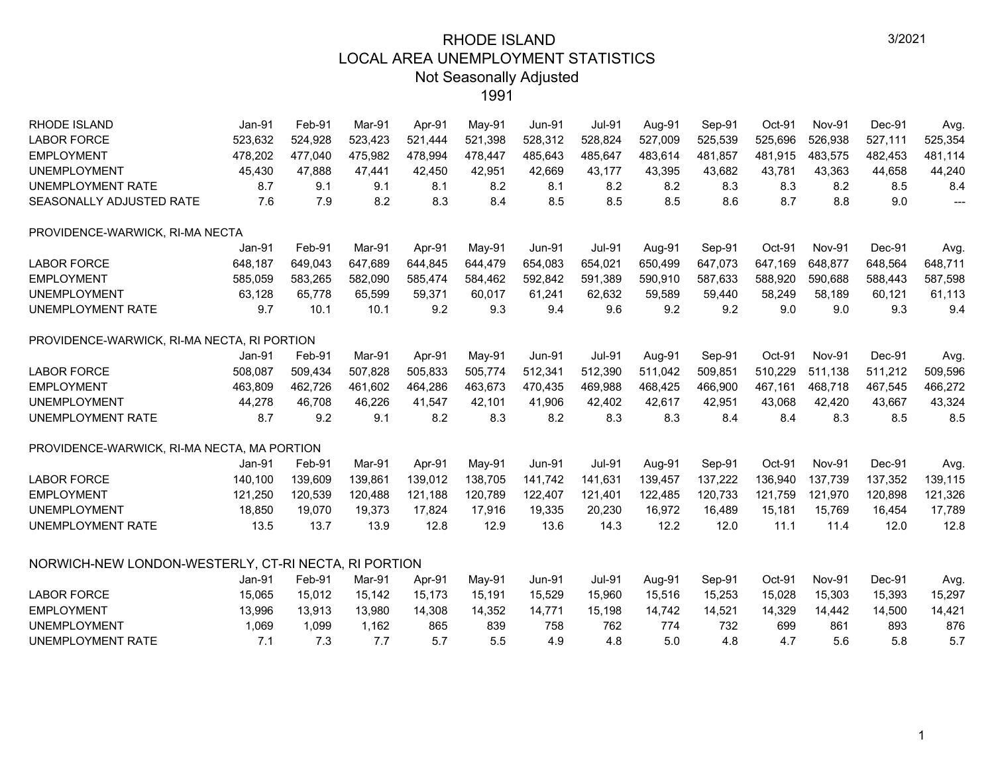| RHODE ISLAND                                         | Jan-91  | Feb-91  | Mar-91  | Apr-91  | May-91  | <b>Jun-91</b> | <b>Jul-91</b> | Aug-91  | Sep-91  | Oct-91  | Nov-91        | Dec-91  | Avg.                     |
|------------------------------------------------------|---------|---------|---------|---------|---------|---------------|---------------|---------|---------|---------|---------------|---------|--------------------------|
| <b>LABOR FORCE</b>                                   | 523,632 | 524,928 | 523,423 | 521,444 | 521,398 | 528,312       | 528,824       | 527,009 | 525,539 | 525,696 | 526,938       | 527,111 | 525,354                  |
| <b>EMPLOYMENT</b>                                    | 478,202 | 477,040 | 475,982 | 478,994 | 478,447 | 485,643       | 485,647       | 483,614 | 481,857 | 481,915 | 483,575       | 482,453 | 481,114                  |
| <b>UNEMPLOYMENT</b>                                  | 45,430  | 47,888  | 47,441  | 42,450  | 42,951  | 42,669        | 43,177        | 43,395  | 43,682  | 43,781  | 43,363        | 44,658  | 44,240                   |
| UNEMPLOYMENT RATE                                    | 8.7     | 9.1     | 9.1     | 8.1     | 8.2     | 8.1           | 8.2           | 8.2     | 8.3     | 8.3     | 8.2           | 8.5     | 8.4                      |
| SEASONALLY ADJUSTED RATE                             | 7.6     | 7.9     | 8.2     | 8.3     | 8.4     | 8.5           | 8.5           | 8.5     | 8.6     | 8.7     | 8.8           | 9.0     | $\overline{\phantom{a}}$ |
| PROVIDENCE-WARWICK, RI-MA NECTA                      |         |         |         |         |         |               |               |         |         |         |               |         |                          |
|                                                      | Jan-91  | Feb-91  | Mar-91  | Apr-91  | May-91  | <b>Jun-91</b> | <b>Jul-91</b> | Aug-91  | Sep-91  | Oct-91  | <b>Nov-91</b> | Dec-91  | Avg.                     |
| <b>LABOR FORCE</b>                                   | 648,187 | 649,043 | 647,689 | 644,845 | 644,479 | 654,083       | 654,021       | 650,499 | 647,073 | 647,169 | 648,877       | 648,564 | 648,711                  |
| <b>EMPLOYMENT</b>                                    | 585,059 | 583,265 | 582,090 | 585,474 | 584,462 | 592,842       | 591,389       | 590,910 | 587,633 | 588,920 | 590,688       | 588,443 | 587,598                  |
| <b>UNEMPLOYMENT</b>                                  | 63,128  | 65,778  | 65,599  | 59,371  | 60,017  | 61,241        | 62,632        | 59,589  | 59,440  | 58,249  | 58,189        | 60,121  | 61,113                   |
| UNEMPLOYMENT RATE                                    | 9.7     | 10.1    | 10.1    | 9.2     | 9.3     | 9.4           | 9.6           | 9.2     | 9.2     | 9.0     | 9.0           | 9.3     | 9.4                      |
| PROVIDENCE-WARWICK, RI-MA NECTA, RI PORTION          |         |         |         |         |         |               |               |         |         |         |               |         |                          |
|                                                      | Jan-91  | Feb-91  | Mar-91  | Apr-91  | May-91  | <b>Jun-91</b> | <b>Jul-91</b> | Aug-91  | Sep-91  | Oct-91  | <b>Nov-91</b> | Dec-91  | Avg.                     |
| <b>LABOR FORCE</b>                                   | 508,087 | 509,434 | 507,828 | 505,833 | 505,774 | 512,341       | 512,390       | 511,042 | 509,851 | 510,229 | 511,138       | 511,212 | 509,596                  |
| <b>EMPLOYMENT</b>                                    | 463,809 | 462,726 | 461,602 | 464,286 | 463,673 | 470,435       | 469,988       | 468,425 | 466,900 | 467,161 | 468,718       | 467,545 | 466,272                  |
| <b>UNEMPLOYMENT</b>                                  | 44,278  | 46,708  | 46,226  | 41,547  | 42,101  | 41,906        | 42,402        | 42,617  | 42,951  | 43,068  | 42,420        | 43,667  | 43,324                   |
| UNEMPLOYMENT RATE                                    | 8.7     | 9.2     | 9.1     | 8.2     | 8.3     | 8.2           | 8.3           | 8.3     | 8.4     | 8.4     | 8.3           | 8.5     | 8.5                      |
| PROVIDENCE-WARWICK, RI-MA NECTA, MA PORTION          |         |         |         |         |         |               |               |         |         |         |               |         |                          |
|                                                      | Jan-91  | Feb-91  | Mar-91  | Apr-91  | May-91  | <b>Jun-91</b> | <b>Jul-91</b> | Aug-91  | Sep-91  | Oct-91  | <b>Nov-91</b> | Dec-91  | Avg.                     |
| <b>LABOR FORCE</b>                                   | 140,100 | 139,609 | 139,861 | 139,012 | 138,705 | 141,742       | 141,631       | 139,457 | 137,222 | 136,940 | 137,739       | 137,352 | 139,115                  |
| <b>EMPLOYMENT</b>                                    | 121,250 | 120,539 | 120,488 | 121,188 | 120,789 | 122,407       | 121,401       | 122,485 | 120,733 | 121,759 | 121,970       | 120,898 | 121,326                  |
| <b>UNEMPLOYMENT</b>                                  | 18,850  | 19,070  | 19,373  | 17,824  | 17,916  | 19,335        | 20,230        | 16,972  | 16,489  | 15,181  | 15,769        | 16,454  | 17,789                   |
| <b>UNEMPLOYMENT RATE</b>                             | 13.5    | 13.7    | 13.9    | 12.8    | 12.9    | 13.6          | 14.3          | 12.2    | 12.0    | 11.1    | 11.4          | 12.0    | 12.8                     |
| NORWICH-NEW LONDON-WESTERLY, CT-RI NECTA, RI PORTION |         |         |         |         |         |               |               |         |         |         |               |         |                          |
|                                                      | Jan-91  | Feb-91  | Mar-91  | Apr-91  | May-91  | <b>Jun-91</b> | <b>Jul-91</b> | Aug-91  | Sep-91  | Oct-91  | <b>Nov-91</b> | Dec-91  | Avg.                     |
| <b>LABOR FORCE</b>                                   | 15,065  | 15,012  | 15,142  | 15.173  | 15,191  | 15,529        | 15,960        | 15,516  | 15,253  | 15,028  | 15,303        | 15,393  | 15,297                   |
| <b>EMPLOYMENT</b>                                    | 13,996  | 13,913  | 13,980  | 14,308  | 14,352  | 14,771        | 15,198        | 14,742  | 14,521  | 14,329  | 14,442        | 14,500  | 14,421                   |
| <b>UNEMPLOYMENT</b>                                  | 1,069   | 1,099   | 1,162   | 865     | 839     | 758           | 762           | 774     | 732     | 699     | 861           | 893     | 876                      |
| <b>UNEMPLOYMENT RATE</b>                             | 7.1     | 7.3     | 7.7     | 5.7     | 5.5     | 4.9           | 4.8           | 5.0     | 4.8     | 4.7     | 5.6           | 5.8     | 5.7                      |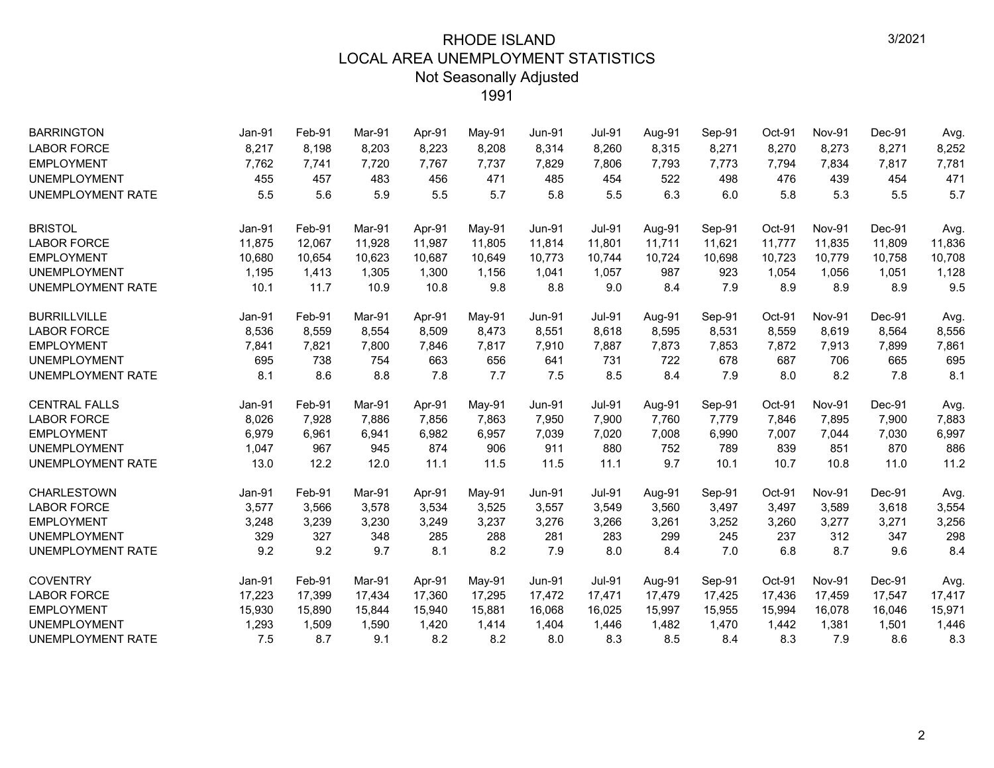| <b>BARRINGTON</b>        | Jan-91 | Feb-91 | Mar-91 | Apr-91 | May-91 | <b>Jun-91</b> | Jul-91        | Aug-91 | Sep-91 | Oct-91 | <b>Nov-91</b> | Dec-91 | Avg.   |
|--------------------------|--------|--------|--------|--------|--------|---------------|---------------|--------|--------|--------|---------------|--------|--------|
| <b>LABOR FORCE</b>       | 8,217  | 8,198  | 8,203  | 8,223  | 8,208  | 8,314         | 8,260         | 8,315  | 8,271  | 8,270  | 8,273         | 8,271  | 8,252  |
| <b>EMPLOYMENT</b>        | 7,762  | 7,741  | 7,720  | 7,767  | 7,737  | 7,829         | 7,806         | 7,793  | 7,773  | 7,794  | 7,834         | 7,817  | 7,781  |
| <b>UNEMPLOYMENT</b>      | 455    | 457    | 483    | 456    | 471    | 485           | 454           | 522    | 498    | 476    | 439           | 454    | 471    |
| <b>UNEMPLOYMENT RATE</b> | 5.5    | 5.6    | 5.9    | 5.5    | 5.7    | 5.8           | 5.5           | 6.3    | 6.0    | 5.8    | 5.3           | 5.5    | 5.7    |
| <b>BRISTOL</b>           | Jan-91 | Feb-91 | Mar-91 | Apr-91 | May-91 | <b>Jun-91</b> | <b>Jul-91</b> | Aug-91 | Sep-91 | Oct-91 | <b>Nov-91</b> | Dec-91 | Avg.   |
| <b>LABOR FORCE</b>       | 11,875 | 12,067 | 11,928 | 11,987 | 11,805 | 11,814        | 11,801        | 11,711 | 11,621 | 11,777 | 11,835        | 11,809 | 11,836 |
| <b>EMPLOYMENT</b>        | 10,680 | 10,654 | 10,623 | 10,687 | 10,649 | 10,773        | 10,744        | 10,724 | 10,698 | 10,723 | 10,779        | 10,758 | 10,708 |
| <b>UNEMPLOYMENT</b>      | 1,195  | 1,413  | 1,305  | 1,300  | 1,156  | 1,041         | 1,057         | 987    | 923    | 1,054  | 1,056         | 1,051  | 1,128  |
| <b>UNEMPLOYMENT RATE</b> | 10.1   | 11.7   | 10.9   | 10.8   | 9.8    | 8.8           | 9.0           | 8.4    | 7.9    | 8.9    | 8.9           | 8.9    | 9.5    |
| <b>BURRILLVILLE</b>      | Jan-91 | Feb-91 | Mar-91 | Apr-91 | May-91 | <b>Jun-91</b> | Jul-91        | Aug-91 | Sep-91 | Oct-91 | <b>Nov-91</b> | Dec-91 | Avg.   |
| <b>LABOR FORCE</b>       | 8,536  | 8,559  | 8,554  | 8,509  | 8,473  | 8,551         | 8,618         | 8,595  | 8,531  | 8,559  | 8,619         | 8,564  | 8,556  |
| <b>EMPLOYMENT</b>        | 7,841  | 7,821  | 7,800  | 7,846  | 7,817  | 7,910         | 7,887         | 7,873  | 7,853  | 7,872  | 7,913         | 7,899  | 7,861  |
| <b>UNEMPLOYMENT</b>      | 695    | 738    | 754    | 663    | 656    | 641           | 731           | 722    | 678    | 687    | 706           | 665    | 695    |
| UNEMPLOYMENT RATE        | 8.1    | 8.6    | 8.8    | 7.8    | 7.7    | 7.5           | 8.5           | 8.4    | 7.9    | 8.0    | 8.2           | 7.8    | 8.1    |
| <b>CENTRAL FALLS</b>     | Jan-91 | Feb-91 | Mar-91 | Apr-91 | May-91 | <b>Jun-91</b> | <b>Jul-91</b> | Aug-91 | Sep-91 | Oct-91 | <b>Nov-91</b> | Dec-91 | Avg.   |
| <b>LABOR FORCE</b>       | 8,026  | 7,928  | 7,886  | 7,856  | 7,863  | 7,950         | 7,900         | 7,760  | 7,779  | 7,846  | 7,895         | 7,900  | 7,883  |
| <b>EMPLOYMENT</b>        | 6,979  | 6,961  | 6,941  | 6,982  | 6,957  | 7,039         | 7,020         | 7,008  | 6,990  | 7,007  | 7,044         | 7,030  | 6,997  |
| <b>UNEMPLOYMENT</b>      | 1,047  | 967    | 945    | 874    | 906    | 911           | 880           | 752    | 789    | 839    | 851           | 870    | 886    |
| <b>UNEMPLOYMENT RATE</b> | 13.0   | 12.2   | 12.0   | 11.1   | 11.5   | 11.5          | 11.1          | 9.7    | 10.1   | 10.7   | 10.8          | 11.0   | 11.2   |
| <b>CHARLESTOWN</b>       | Jan-91 | Feb-91 | Mar-91 | Apr-91 | May-91 | <b>Jun-91</b> | Jul-91        | Aug-91 | Sep-91 | Oct-91 | <b>Nov-91</b> | Dec-91 | Avg.   |
| <b>LABOR FORCE</b>       | 3,577  | 3,566  | 3,578  | 3,534  | 3,525  | 3,557         | 3,549         | 3,560  | 3,497  | 3,497  | 3,589         | 3,618  | 3,554  |
| <b>EMPLOYMENT</b>        | 3,248  | 3,239  | 3,230  | 3,249  | 3,237  | 3,276         | 3,266         | 3,261  | 3,252  | 3,260  | 3,277         | 3,271  | 3,256  |
| <b>UNEMPLOYMENT</b>      | 329    | 327    | 348    | 285    | 288    | 281           | 283           | 299    | 245    | 237    | 312           | 347    | 298    |
| <b>UNEMPLOYMENT RATE</b> | 9.2    | 9.2    | 9.7    | 8.1    | 8.2    | 7.9           | 8.0           | 8.4    | 7.0    | 6.8    | 8.7           | 9.6    | 8.4    |
| <b>COVENTRY</b>          | Jan-91 | Feb-91 | Mar-91 | Apr-91 | May-91 | <b>Jun-91</b> | <b>Jul-91</b> | Aug-91 | Sep-91 | Oct-91 | <b>Nov-91</b> | Dec-91 | Avg.   |
| <b>LABOR FORCE</b>       | 17,223 | 17,399 | 17,434 | 17,360 | 17,295 | 17,472        | 17,471        | 17,479 | 17,425 | 17,436 | 17,459        | 17,547 | 17,417 |
| <b>EMPLOYMENT</b>        | 15,930 | 15,890 | 15,844 | 15,940 | 15,881 | 16,068        | 16,025        | 15,997 | 15,955 | 15,994 | 16,078        | 16,046 | 15,971 |
| <b>UNEMPLOYMENT</b>      | 1,293  | 1,509  | 1,590  | 1,420  | 1,414  | 1,404         | 1,446         | 1,482  | 1,470  | 1,442  | 1,381         | 1,501  | 1,446  |
| UNEMPLOYMENT RATE        | 7.5    | 8.7    | 9.1    | 8.2    | 8.2    | 8.0           | 8.3           | 8.5    | 8.4    | 8.3    | 7.9           | 8.6    | 8.3    |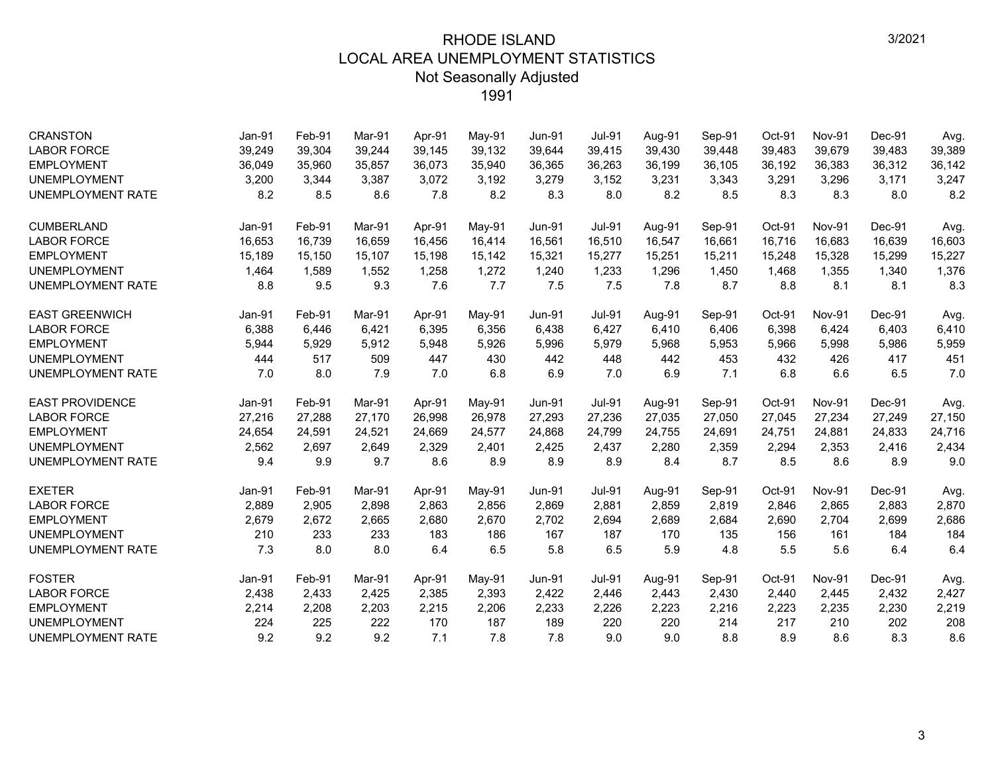| <b>CRANSTON</b>          | Jan-91 | Feb-91 | Mar-91 | Apr-91 | $May-91$ | <b>Jun-91</b> | <b>Jul-91</b> | Aug-91 | Sep-91 | Oct-91 | Nov-91        | Dec-91 | Avg.   |
|--------------------------|--------|--------|--------|--------|----------|---------------|---------------|--------|--------|--------|---------------|--------|--------|
| <b>LABOR FORCE</b>       | 39,249 | 39,304 | 39,244 | 39,145 | 39,132   | 39,644        | 39,415        | 39,430 | 39,448 | 39,483 | 39,679        | 39,483 | 39,389 |
| <b>EMPLOYMENT</b>        | 36,049 | 35,960 | 35,857 | 36,073 | 35,940   | 36,365        | 36,263        | 36,199 | 36,105 | 36,192 | 36,383        | 36,312 | 36,142 |
| <b>UNEMPLOYMENT</b>      | 3,200  | 3,344  | 3,387  | 3,072  | 3,192    | 3,279         | 3,152         | 3,231  | 3,343  | 3,291  | 3,296         | 3,171  | 3,247  |
| UNEMPLOYMENT RATE        | 8.2    | 8.5    | 8.6    | 7.8    | 8.2      | 8.3           | 8.0           | 8.2    | 8.5    | 8.3    | 8.3           | 8.0    | 8.2    |
| <b>CUMBERLAND</b>        | Jan-91 | Feb-91 | Mar-91 | Apr-91 | $May-91$ | <b>Jun-91</b> | <b>Jul-91</b> | Aug-91 | Sep-91 | Oct-91 | Nov-91        | Dec-91 | Avg.   |
| <b>LABOR FORCE</b>       | 16,653 | 16,739 | 16,659 | 16.456 | 16,414   | 16,561        | 16,510        | 16,547 | 16,661 | 16,716 | 16,683        | 16,639 | 16,603 |
| <b>EMPLOYMENT</b>        | 15,189 | 15,150 | 15.107 | 15,198 | 15,142   | 15,321        | 15,277        | 15,251 | 15,211 | 15,248 | 15,328        | 15,299 | 15,227 |
| <b>UNEMPLOYMENT</b>      | 1,464  | 1,589  | 1,552  | 1,258  | 1,272    | 1,240         | 1,233         | 1,296  | 1,450  | 1,468  | 1,355         | 1,340  | 1,376  |
| UNEMPLOYMENT RATE        | 8.8    | 9.5    | 9.3    | 7.6    | 7.7      | 7.5           | 7.5           | 7.8    | 8.7    | 8.8    | 8.1           | 8.1    | 8.3    |
| <b>EAST GREENWICH</b>    | Jan-91 | Feb-91 | Mar-91 | Apr-91 | May-91   | <b>Jun-91</b> | <b>Jul-91</b> | Aug-91 | Sep-91 | Oct-91 | <b>Nov-91</b> | Dec-91 | Avg.   |
| <b>LABOR FORCE</b>       | 6,388  | 6,446  | 6,421  | 6,395  | 6,356    | 6,438         | 6,427         | 6,410  | 6,406  | 6,398  | 6,424         | 6,403  | 6,410  |
| <b>EMPLOYMENT</b>        | 5,944  | 5,929  | 5,912  | 5,948  | 5,926    | 5,996         | 5,979         | 5,968  | 5,953  | 5,966  | 5,998         | 5,986  | 5,959  |
| <b>UNEMPLOYMENT</b>      | 444    | 517    | 509    | 447    | 430      | 442           | 448           | 442    | 453    | 432    | 426           | 417    | 451    |
| UNEMPLOYMENT RATE        | 7.0    | 8.0    | 7.9    | 7.0    | 6.8      | 6.9           | 7.0           | 6.9    | 7.1    | 6.8    | 6.6           | 6.5    | 7.0    |
| <b>EAST PROVIDENCE</b>   | Jan-91 | Feb-91 | Mar-91 | Apr-91 | May-91   | <b>Jun-91</b> | <b>Jul-91</b> | Aug-91 | Sep-91 | Oct-91 | <b>Nov-91</b> | Dec-91 | Avg.   |
| <b>LABOR FORCE</b>       | 27,216 | 27,288 | 27,170 | 26,998 | 26,978   | 27,293        | 27,236        | 27,035 | 27,050 | 27,045 | 27,234        | 27,249 | 27,150 |
| <b>EMPLOYMENT</b>        | 24,654 | 24,591 | 24,521 | 24,669 | 24,577   | 24,868        | 24,799        | 24,755 | 24,691 | 24,751 | 24,881        | 24,833 | 24,716 |
| <b>UNEMPLOYMENT</b>      | 2,562  | 2,697  | 2,649  | 2,329  | 2,401    | 2,425         | 2,437         | 2,280  | 2,359  | 2,294  | 2,353         | 2,416  | 2,434  |
| UNEMPLOYMENT RATE        | 9.4    | 9.9    | 9.7    | 8.6    | 8.9      | 8.9           | 8.9           | 8.4    | 8.7    | 8.5    | 8.6           | 8.9    | 9.0    |
| <b>EXETER</b>            | Jan-91 | Feb-91 | Mar-91 | Apr-91 | May-91   | <b>Jun-91</b> | <b>Jul-91</b> | Aug-91 | Sep-91 | Oct-91 | Nov-91        | Dec-91 | Avg.   |
| <b>LABOR FORCE</b>       | 2,889  | 2,905  | 2,898  | 2,863  | 2,856    | 2,869         | 2,881         | 2,859  | 2,819  | 2,846  | 2,865         | 2,883  | 2,870  |
| <b>EMPLOYMENT</b>        | 2,679  | 2,672  | 2,665  | 2,680  | 2,670    | 2,702         | 2,694         | 2,689  | 2,684  | 2,690  | 2,704         | 2,699  | 2,686  |
| <b>UNEMPLOYMENT</b>      | 210    | 233    | 233    | 183    | 186      | 167           | 187           | 170    | 135    | 156    | 161           | 184    | 184    |
| <b>UNEMPLOYMENT RATE</b> | 7.3    | 8.0    | 8.0    | 6.4    | 6.5      | 5.8           | 6.5           | 5.9    | 4.8    | 5.5    | 5.6           | 6.4    | 6.4    |
| <b>FOSTER</b>            | Jan-91 | Feb-91 | Mar-91 | Apr-91 | May-91   | <b>Jun-91</b> | <b>Jul-91</b> | Aug-91 | Sep-91 | Oct-91 | <b>Nov-91</b> | Dec-91 | Avg.   |
| <b>LABOR FORCE</b>       | 2,438  | 2,433  | 2,425  | 2,385  | 2,393    | 2,422         | 2,446         | 2,443  | 2,430  | 2,440  | 2,445         | 2,432  | 2,427  |
| <b>EMPLOYMENT</b>        | 2,214  | 2,208  | 2,203  | 2,215  | 2,206    | 2,233         | 2,226         | 2,223  | 2,216  | 2,223  | 2,235         | 2,230  | 2,219  |
| <b>UNEMPLOYMENT</b>      | 224    | 225    | 222    | 170    | 187      | 189           | 220           | 220    | 214    | 217    | 210           | 202    | 208    |
| <b>UNEMPLOYMENT RATE</b> | 9.2    | 9.2    | 9.2    | 7.1    | 7.8      | 7.8           | 9.0           | 9.0    | 8.8    | 8.9    | 8.6           | 8.3    | 8.6    |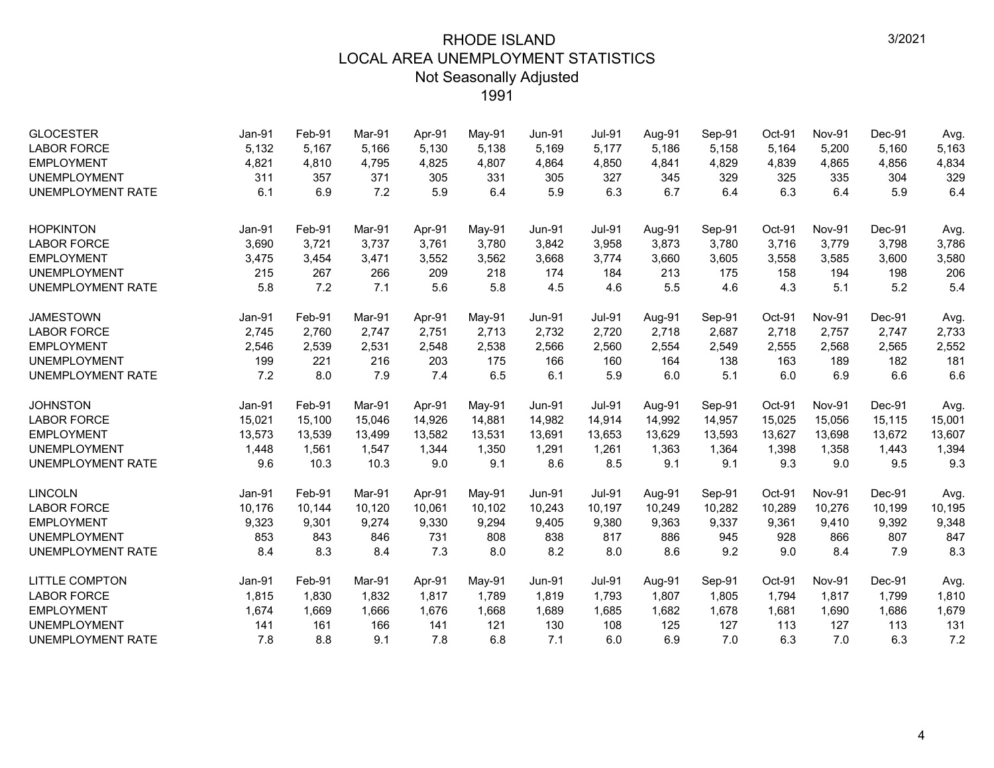| <b>GLOCESTER</b>         | Jan-91 | Feb-91 | Mar-91 | Apr-91 | May-91 | <b>Jun-91</b> | <b>Jul-91</b> | Aug-91 | Sep-91 | Oct-91 | <b>Nov-91</b> | $Dec-91$ | Avg.   |
|--------------------------|--------|--------|--------|--------|--------|---------------|---------------|--------|--------|--------|---------------|----------|--------|
| <b>LABOR FORCE</b>       | 5,132  | 5,167  | 5,166  | 5,130  | 5,138  | 5,169         | 5,177         | 5,186  | 5,158  | 5,164  | 5,200         | 5,160    | 5,163  |
| <b>EMPLOYMENT</b>        | 4,821  | 4,810  | 4,795  | 4,825  | 4,807  | 4,864         | 4,850         | 4,841  | 4,829  | 4,839  | 4,865         | 4,856    | 4,834  |
| <b>UNEMPLOYMENT</b>      | 311    | 357    | 371    | 305    | 331    | 305           | 327           | 345    | 329    | 325    | 335           | 304      | 329    |
| <b>UNEMPLOYMENT RATE</b> | 6.1    | 6.9    | 7.2    | 5.9    | 6.4    | 5.9           | 6.3           | 6.7    | 6.4    | 6.3    | 6.4           | 5.9      | 6.4    |
| <b>HOPKINTON</b>         | Jan-91 | Feb-91 | Mar-91 | Apr-91 | May-91 | <b>Jun-91</b> | <b>Jul-91</b> | Aug-91 | Sep-91 | Oct-91 | <b>Nov-91</b> | Dec-91   | Avg.   |
| <b>LABOR FORCE</b>       | 3,690  | 3,721  | 3,737  | 3,761  | 3,780  | 3,842         | 3,958         | 3,873  | 3,780  | 3,716  | 3,779         | 3,798    | 3,786  |
| <b>EMPLOYMENT</b>        | 3,475  | 3,454  | 3,471  | 3,552  | 3,562  | 3,668         | 3,774         | 3,660  | 3,605  | 3,558  | 3,585         | 3,600    | 3,580  |
| <b>UNEMPLOYMENT</b>      | 215    | 267    | 266    | 209    | 218    | 174           | 184           | 213    | 175    | 158    | 194           | 198      | 206    |
| UNEMPLOYMENT RATE        | 5.8    | 7.2    | 7.1    | 5.6    | 5.8    | 4.5           | 4.6           | 5.5    | 4.6    | 4.3    | 5.1           | 5.2      | 5.4    |
| <b>JAMESTOWN</b>         | Jan-91 | Feb-91 | Mar-91 | Apr-91 | May-91 | <b>Jun-91</b> | <b>Jul-91</b> | Aug-91 | Sep-91 | Oct-91 | <b>Nov-91</b> | Dec-91   | Avg.   |
| <b>LABOR FORCE</b>       | 2,745  | 2,760  | 2,747  | 2,751  | 2,713  | 2,732         | 2,720         | 2,718  | 2,687  | 2,718  | 2,757         | 2,747    | 2,733  |
| <b>EMPLOYMENT</b>        | 2,546  | 2,539  | 2,531  | 2,548  | 2,538  | 2,566         | 2,560         | 2,554  | 2,549  | 2,555  | 2,568         | 2,565    | 2,552  |
| <b>UNEMPLOYMENT</b>      | 199    | 221    | 216    | 203    | 175    | 166           | 160           | 164    | 138    | 163    | 189           | 182      | 181    |
| UNEMPLOYMENT RATE        | 7.2    | 8.0    | 7.9    | 7.4    | 6.5    | 6.1           | 5.9           | 6.0    | 5.1    | 6.0    | 6.9           | 6.6      | 6.6    |
| <b>JOHNSTON</b>          | Jan-91 | Feb-91 | Mar-91 | Apr-91 | May-91 | <b>Jun-91</b> | <b>Jul-91</b> | Aug-91 | Sep-91 | Oct-91 | <b>Nov-91</b> | Dec-91   | Avg.   |
| <b>LABOR FORCE</b>       | 15,021 | 15,100 | 15,046 | 14,926 | 14,881 | 14,982        | 14,914        | 14,992 | 14,957 | 15,025 | 15,056        | 15,115   | 15,001 |
| <b>EMPLOYMENT</b>        | 13,573 | 13,539 | 13,499 | 13,582 | 13,531 | 13,691        | 13,653        | 13,629 | 13,593 | 13,627 | 13,698        | 13,672   | 13,607 |
| <b>UNEMPLOYMENT</b>      | 1,448  | 1,561  | 1,547  | 1,344  | 1,350  | 1,291         | 1,261         | 1,363  | 1,364  | 1,398  | 1,358         | 1,443    | 1,394  |
| <b>UNEMPLOYMENT RATE</b> | 9.6    | 10.3   | 10.3   | 9.0    | 9.1    | 8.6           | 8.5           | 9.1    | 9.1    | 9.3    | 9.0           | 9.5      | 9.3    |
| <b>LINCOLN</b>           | Jan-91 | Feb-91 | Mar-91 | Apr-91 | May-91 | <b>Jun-91</b> | <b>Jul-91</b> | Aug-91 | Sep-91 | Oct-91 | <b>Nov-91</b> | Dec-91   | Avg.   |
| <b>LABOR FORCE</b>       | 10,176 | 10,144 | 10,120 | 10,061 | 10,102 | 10,243        | 10,197        | 10,249 | 10,282 | 10,289 | 10,276        | 10,199   | 10,195 |
| <b>EMPLOYMENT</b>        | 9,323  | 9,301  | 9,274  | 9,330  | 9,294  | 9,405         | 9,380         | 9,363  | 9,337  | 9,361  | 9,410         | 9,392    | 9,348  |
| <b>UNEMPLOYMENT</b>      | 853    | 843    | 846    | 731    | 808    | 838           | 817           | 886    | 945    | 928    | 866           | 807      | 847    |
| UNEMPLOYMENT RATE        | 8.4    | 8.3    | 8.4    | 7.3    | 8.0    | 8.2           | 8.0           | 8.6    | 9.2    | 9.0    | 8.4           | 7.9      | 8.3    |
| <b>LITTLE COMPTON</b>    | Jan-91 | Feb-91 | Mar-91 | Apr-91 | May-91 | <b>Jun-91</b> | <b>Jul-91</b> | Aug-91 | Sep-91 | Oct-91 | <b>Nov-91</b> | Dec-91   | Avg.   |
| <b>LABOR FORCE</b>       | 1,815  | 1,830  | 1,832  | 1,817  | 1,789  | 1,819         | 1,793         | 1,807  | 1,805  | 1,794  | 1,817         | 1,799    | 1,810  |
| <b>EMPLOYMENT</b>        | 1,674  | 1,669  | 1,666  | 1,676  | 1,668  | 1,689         | 1,685         | 1,682  | 1,678  | 1,681  | 1,690         | 1,686    | 1,679  |
| <b>UNEMPLOYMENT</b>      | 141    | 161    | 166    | 141    | 121    | 130           | 108           | 125    | 127    | 113    | 127           | 113      | 131    |
| UNEMPLOYMENT RATE        | 7.8    | 8.8    | 9.1    | 7.8    | 6.8    | 7.1           | 6.0           | 6.9    | 7.0    | 6.3    | 7.0           | 6.3      | 7.2    |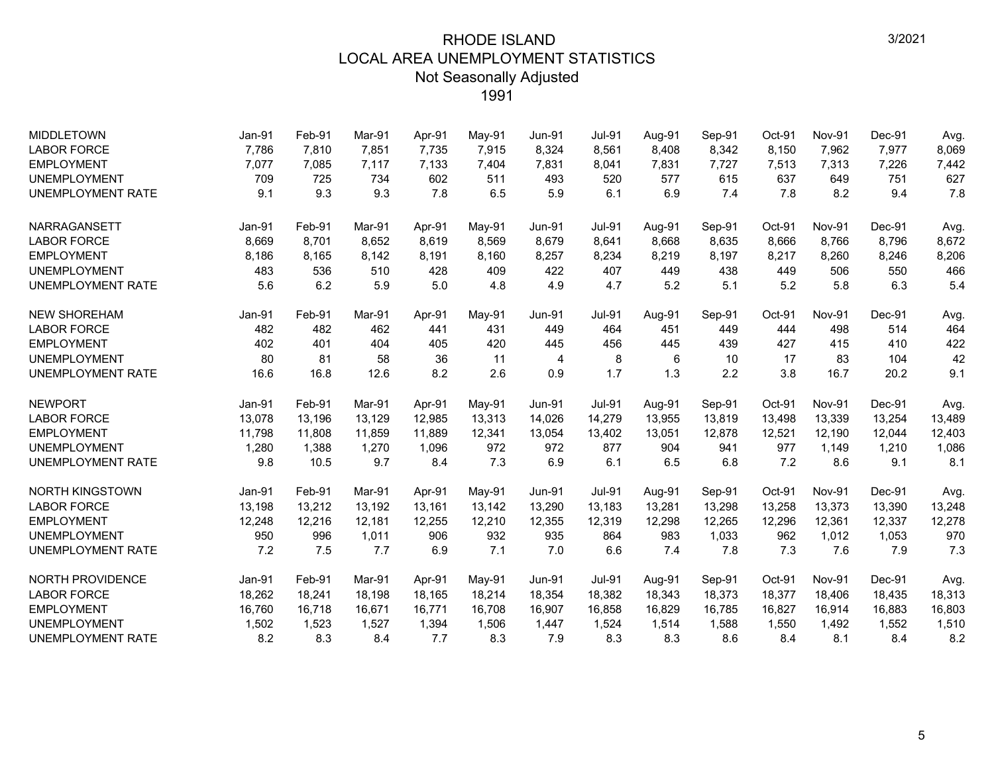| <b>MIDDLETOWN</b>        | Jan-91 | Feb-91 | Mar-91 | Apr-91 | May-91   | <b>Jun-91</b> | <b>Jul-91</b> | Aug-91 | Sep-91 | Oct-91 | <b>Nov-91</b> | Dec-91 | Avg.   |
|--------------------------|--------|--------|--------|--------|----------|---------------|---------------|--------|--------|--------|---------------|--------|--------|
| <b>LABOR FORCE</b>       | 7,786  | 7,810  | 7,851  | 7,735  | 7,915    | 8,324         | 8,561         | 8,408  | 8,342  | 8,150  | 7,962         | 7,977  | 8,069  |
| <b>EMPLOYMENT</b>        | 7,077  | 7,085  | 7,117  | 7,133  | 7,404    | 7,831         | 8,041         | 7,831  | 7,727  | 7,513  | 7,313         | 7,226  | 7,442  |
| <b>UNEMPLOYMENT</b>      | 709    | 725    | 734    | 602    | 511      | 493           | 520           | 577    | 615    | 637    | 649           | 751    | 627    |
| <b>UNEMPLOYMENT RATE</b> | 9.1    | 9.3    | 9.3    | 7.8    | 6.5      | 5.9           | 6.1           | 6.9    | 7.4    | 7.8    | 8.2           | 9.4    | 7.8    |
| NARRAGANSETT             | Jan-91 | Feb-91 | Mar-91 | Apr-91 | May-91   | <b>Jun-91</b> | <b>Jul-91</b> | Aug-91 | Sep-91 | Oct-91 | Nov-91        | Dec-91 | Avg.   |
| <b>LABOR FORCE</b>       | 8,669  | 8,701  | 8,652  | 8,619  | 8,569    | 8,679         | 8,641         | 8,668  | 8,635  | 8,666  | 8,766         | 8,796  | 8,672  |
| <b>EMPLOYMENT</b>        | 8,186  | 8,165  | 8,142  | 8,191  | 8,160    | 8,257         | 8,234         | 8,219  | 8,197  | 8,217  | 8,260         | 8,246  | 8,206  |
| <b>UNEMPLOYMENT</b>      | 483    | 536    | 510    | 428    | 409      | 422           | 407           | 449    | 438    | 449    | 506           | 550    | 466    |
| <b>UNEMPLOYMENT RATE</b> | 5.6    | 6.2    | 5.9    | 5.0    | 4.8      | 4.9           | 4.7           | 5.2    | 5.1    | 5.2    | 5.8           | 6.3    | 5.4    |
| <b>NEW SHOREHAM</b>      | Jan-91 | Feb-91 | Mar-91 | Apr-91 | May-91   | <b>Jun-91</b> | <b>Jul-91</b> | Aug-91 | Sep-91 | Oct-91 | <b>Nov-91</b> | Dec-91 | Avg.   |
| <b>LABOR FORCE</b>       | 482    | 482    | 462    | 441    | 431      | 449           | 464           | 451    | 449    | 444    | 498           | 514    | 464    |
| <b>EMPLOYMENT</b>        | 402    | 401    | 404    | 405    | 420      | 445           | 456           | 445    | 439    | 427    | 415           | 410    | 422    |
| <b>UNEMPLOYMENT</b>      | 80     | 81     | 58     | 36     | 11       | 4             | 8             | 6      | 10     | 17     | 83            | 104    | 42     |
| <b>UNEMPLOYMENT RATE</b> | 16.6   | 16.8   | 12.6   | 8.2    | 2.6      | 0.9           | 1.7           | 1.3    | 2.2    | 3.8    | 16.7          | 20.2   | 9.1    |
| <b>NEWPORT</b>           | Jan-91 | Feb-91 | Mar-91 | Apr-91 | May-91   | <b>Jun-91</b> | <b>Jul-91</b> | Aug-91 | Sep-91 | Oct-91 | <b>Nov-91</b> | Dec-91 | Avg.   |
| <b>LABOR FORCE</b>       | 13,078 | 13,196 | 13,129 | 12,985 | 13,313   | 14,026        | 14,279        | 13,955 | 13,819 | 13,498 | 13,339        | 13,254 | 13,489 |
| <b>EMPLOYMENT</b>        | 11,798 | 11,808 | 11,859 | 11,889 | 12,341   | 13,054        | 13,402        | 13,051 | 12,878 | 12,521 | 12,190        | 12,044 | 12,403 |
| <b>UNEMPLOYMENT</b>      | 1,280  | 1,388  | 1,270  | 1,096  | 972      | 972           | 877           | 904    | 941    | 977    | 1,149         | 1,210  | 1,086  |
| <b>UNEMPLOYMENT RATE</b> | 9.8    | 10.5   | 9.7    | 8.4    | 7.3      | 6.9           | 6.1           | 6.5    | 6.8    | 7.2    | 8.6           | 9.1    | 8.1    |
| <b>NORTH KINGSTOWN</b>   | Jan-91 | Feb-91 | Mar-91 | Apr-91 | $May-91$ | <b>Jun-91</b> | <b>Jul-91</b> | Aug-91 | Sep-91 | Oct-91 | Nov-91        | Dec-91 | Avg.   |
| <b>LABOR FORCE</b>       | 13,198 | 13,212 | 13,192 | 13.161 | 13,142   | 13,290        | 13,183        | 13,281 | 13,298 | 13,258 | 13,373        | 13,390 | 13,248 |
| <b>EMPLOYMENT</b>        | 12,248 | 12,216 | 12,181 | 12,255 | 12,210   | 12,355        | 12,319        | 12,298 | 12,265 | 12,296 | 12,361        | 12,337 | 12,278 |
| <b>UNEMPLOYMENT</b>      | 950    | 996    | 1,011  | 906    | 932      | 935           | 864           | 983    | 1,033  | 962    | 1,012         | 1,053  | 970    |
| UNEMPLOYMENT RATE        | 7.2    | 7.5    | 7.7    | 6.9    | 7.1      | 7.0           | 6.6           | 7.4    | 7.8    | 7.3    | 7.6           | 7.9    | 7.3    |
| NORTH PROVIDENCE         | Jan-91 | Feb-91 | Mar-91 | Apr-91 | May-91   | <b>Jun-91</b> | <b>Jul-91</b> | Aug-91 | Sep-91 | Oct-91 | Nov-91        | Dec-91 | Avg.   |
| <b>LABOR FORCE</b>       | 18,262 | 18,241 | 18.198 | 18,165 | 18,214   | 18,354        | 18,382        | 18,343 | 18,373 | 18,377 | 18.406        | 18,435 | 18,313 |
| <b>EMPLOYMENT</b>        | 16,760 | 16,718 | 16,671 | 16,771 | 16,708   | 16,907        | 16,858        | 16,829 | 16,785 | 16,827 | 16,914        | 16,883 | 16,803 |
| UNEMPLOYMENT             | 1,502  | 1,523  | 1,527  | 1,394  | 1,506    | 1,447         | 1,524         | 1,514  | 1,588  | 1,550  | 1,492         | 1,552  | 1,510  |
| <b>UNEMPLOYMENT RATE</b> | 8.2    | 8.3    | 8.4    | 7.7    | 8.3      | 7.9           | 8.3           | 8.3    | 8.6    | 8.4    | 8.1           | 8.4    | 8.2    |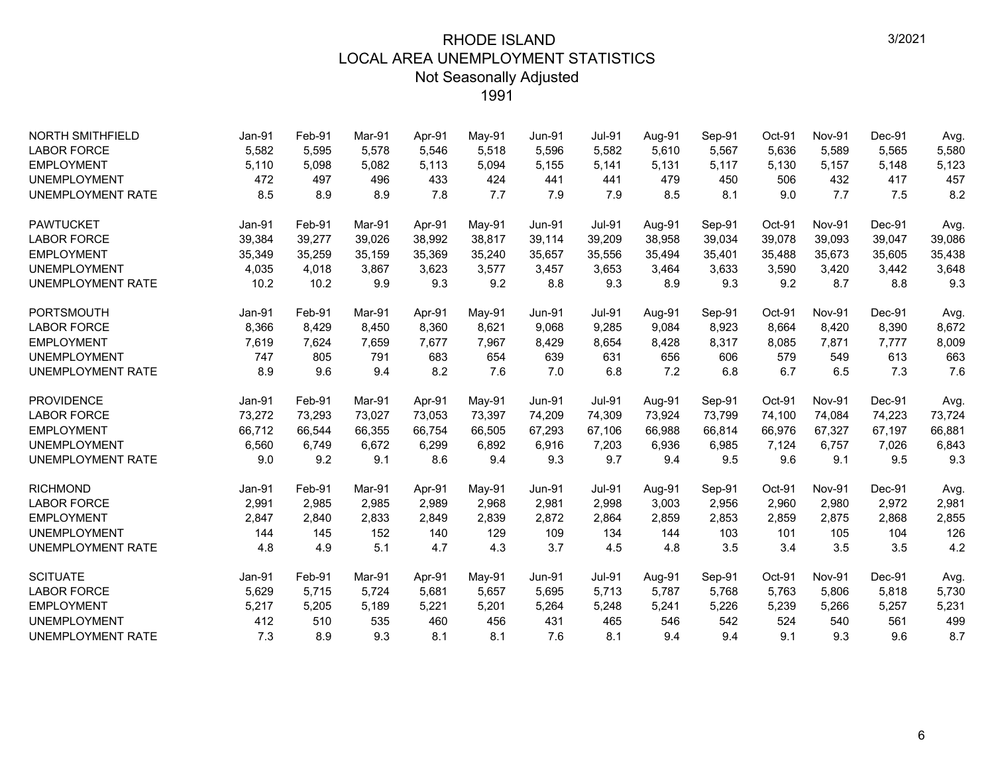| <b>NORTH SMITHFIELD</b>  | Jan-91 | Feb-91 | Mar-91 | Apr-91 | May-91 | <b>Jun-91</b> | <b>Jul-91</b> | Aug-91 | Sep-91 | Oct-91 | <b>Nov-91</b> | Dec-91 | Avg.   |
|--------------------------|--------|--------|--------|--------|--------|---------------|---------------|--------|--------|--------|---------------|--------|--------|
| <b>LABOR FORCE</b>       | 5,582  | 5,595  | 5.578  | 5,546  | 5,518  | 5,596         | 5,582         | 5,610  | 5,567  | 5,636  | 5,589         | 5,565  | 5,580  |
| <b>EMPLOYMENT</b>        | 5,110  | 5,098  | 5,082  | 5,113  | 5,094  | 5,155         | 5,141         | 5,131  | 5,117  | 5,130  | 5,157         | 5,148  | 5,123  |
| <b>UNEMPLOYMENT</b>      | 472    | 497    | 496    | 433    | 424    | 441           | 441           | 479    | 450    | 506    | 432           | 417    | 457    |
| <b>UNEMPLOYMENT RATE</b> | 8.5    | 8.9    | 8.9    | 7.8    | 7.7    | 7.9           | 7.9           | 8.5    | 8.1    | 9.0    | 7.7           | 7.5    | 8.2    |
| <b>PAWTUCKET</b>         | Jan-91 | Feb-91 | Mar-91 | Apr-91 | May-91 | <b>Jun-91</b> | <b>Jul-91</b> | Aug-91 | Sep-91 | Oct-91 | <b>Nov-91</b> | Dec-91 | Avg.   |
| <b>LABOR FORCE</b>       | 39,384 | 39,277 | 39,026 | 38,992 | 38,817 | 39,114        | 39,209        | 38,958 | 39,034 | 39,078 | 39,093        | 39,047 | 39,086 |
| <b>EMPLOYMENT</b>        | 35,349 | 35,259 | 35,159 | 35,369 | 35,240 | 35,657        | 35,556        | 35,494 | 35,401 | 35,488 | 35,673        | 35,605 | 35,438 |
| <b>UNEMPLOYMENT</b>      | 4,035  | 4,018  | 3,867  | 3,623  | 3,577  | 3,457         | 3,653         | 3,464  | 3,633  | 3,590  | 3,420         | 3,442  | 3,648  |
| <b>UNEMPLOYMENT RATE</b> | 10.2   | 10.2   | 9.9    | 9.3    | 9.2    | 8.8           | 9.3           | 8.9    | 9.3    | 9.2    | 8.7           | 8.8    | 9.3    |
| <b>PORTSMOUTH</b>        | Jan-91 | Feb-91 | Mar-91 | Apr-91 | May-91 | <b>Jun-91</b> | <b>Jul-91</b> | Aug-91 | Sep-91 | Oct-91 | <b>Nov-91</b> | Dec-91 | Avg.   |
| <b>LABOR FORCE</b>       | 8,366  | 8,429  | 8,450  | 8,360  | 8,621  | 9,068         | 9,285         | 9,084  | 8,923  | 8,664  | 8,420         | 8,390  | 8,672  |
| <b>EMPLOYMENT</b>        | 7,619  | 7,624  | 7,659  | 7,677  | 7,967  | 8,429         | 8,654         | 8,428  | 8,317  | 8,085  | 7,871         | 7,777  | 8,009  |
| <b>UNEMPLOYMENT</b>      | 747    | 805    | 791    | 683    | 654    | 639           | 631           | 656    | 606    | 579    | 549           | 613    | 663    |
| <b>UNEMPLOYMENT RATE</b> | 8.9    | 9.6    | 9.4    | 8.2    | 7.6    | 7.0           | 6.8           | 7.2    | 6.8    | 6.7    | 6.5           | 7.3    | 7.6    |
| <b>PROVIDENCE</b>        | Jan-91 | Feb-91 | Mar-91 | Apr-91 | May-91 | <b>Jun-91</b> | <b>Jul-91</b> | Aug-91 | Sep-91 | Oct-91 | <b>Nov-91</b> | Dec-91 | Avg.   |
| <b>LABOR FORCE</b>       | 73,272 | 73,293 | 73,027 | 73,053 | 73,397 | 74,209        | 74,309        | 73,924 | 73,799 | 74,100 | 74,084        | 74,223 | 73,724 |
| <b>EMPLOYMENT</b>        | 66,712 | 66,544 | 66,355 | 66.754 | 66,505 | 67,293        | 67,106        | 66,988 | 66,814 | 66,976 | 67,327        | 67,197 | 66,881 |
| <b>UNEMPLOYMENT</b>      | 6,560  | 6,749  | 6,672  | 6,299  | 6,892  | 6,916         | 7,203         | 6,936  | 6,985  | 7,124  | 6,757         | 7,026  | 6,843  |
| <b>UNEMPLOYMENT RATE</b> | 9.0    | 9.2    | 9.1    | 8.6    | 9.4    | 9.3           | 9.7           | 9.4    | 9.5    | 9.6    | 9.1           | 9.5    | 9.3    |
| <b>RICHMOND</b>          | Jan-91 | Feb-91 | Mar-91 | Apr-91 | May-91 | <b>Jun-91</b> | <b>Jul-91</b> | Aug-91 | Sep-91 | Oct-91 | <b>Nov-91</b> | Dec-91 | Avg.   |
| <b>LABOR FORCE</b>       | 2,991  | 2,985  | 2,985  | 2,989  | 2,968  | 2,981         | 2,998         | 3,003  | 2,956  | 2,960  | 2,980         | 2,972  | 2,981  |
| <b>EMPLOYMENT</b>        | 2,847  | 2,840  | 2,833  | 2,849  | 2,839  | 2,872         | 2,864         | 2,859  | 2,853  | 2,859  | 2,875         | 2,868  | 2,855  |
| <b>UNEMPLOYMENT</b>      | 144    | 145    | 152    | 140    | 129    | 109           | 134           | 144    | 103    | 101    | 105           | 104    | 126    |
| <b>UNEMPLOYMENT RATE</b> | 4.8    | 4.9    | 5.1    | 4.7    | 4.3    | 3.7           | 4.5           | 4.8    | 3.5    | 3.4    | 3.5           | 3.5    | 4.2    |
| <b>SCITUATE</b>          | Jan-91 | Feb-91 | Mar-91 | Apr-91 | May-91 | $Jun-91$      | <b>Jul-91</b> | Aug-91 | Sep-91 | Oct-91 | <b>Nov-91</b> | Dec-91 | Avg.   |
| <b>LABOR FORCE</b>       | 5,629  | 5,715  | 5,724  | 5,681  | 5,657  | 5,695         | 5,713         | 5,787  | 5,768  | 5,763  | 5,806         | 5,818  | 5,730  |
| <b>EMPLOYMENT</b>        | 5,217  | 5,205  | 5,189  | 5,221  | 5,201  | 5,264         | 5,248         | 5,241  | 5,226  | 5,239  | 5,266         | 5,257  | 5,231  |
| <b>UNEMPLOYMENT</b>      | 412    | 510    | 535    | 460    | 456    | 431           | 465           | 546    | 542    | 524    | 540           | 561    | 499    |
| <b>UNEMPLOYMENT RATE</b> | 7.3    | 8.9    | 9.3    | 8.1    | 8.1    | 7.6           | 8.1           | 9.4    | 9.4    | 9.1    | 9.3           | 9.6    | 8.7    |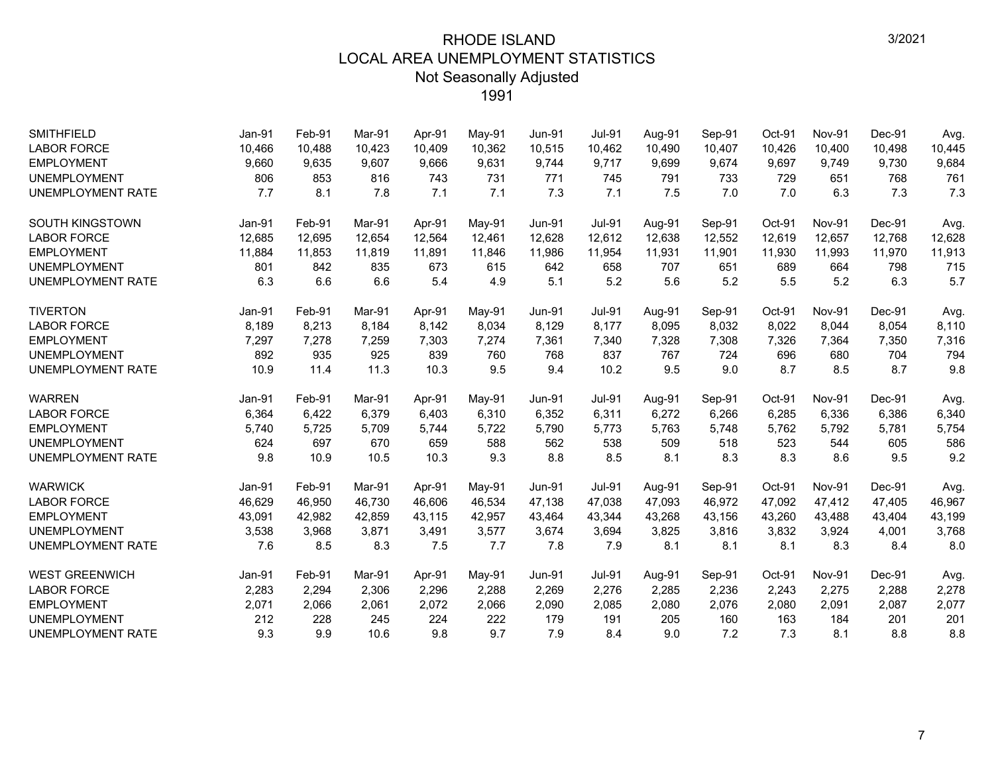| <b>SMITHFIELD</b><br><b>LABOR FORCE</b> | Jan-91<br>10,466 | Feb-91<br>10,488 | Mar-91<br>10.423 | Apr-91<br>10.409 | May-91<br>10,362 | <b>Jun-91</b><br>10,515 | <b>Jul-91</b><br>10,462 | Aug-91<br>10,490 | Sep-91<br>10,407 | Oct-91<br>10,426 | <b>Nov-91</b><br>10,400 | Dec-91<br>10,498 | Avg.<br>10,445 |
|-----------------------------------------|------------------|------------------|------------------|------------------|------------------|-------------------------|-------------------------|------------------|------------------|------------------|-------------------------|------------------|----------------|
| <b>EMPLOYMENT</b>                       | 9,660            | 9,635            | 9,607            | 9,666            | 9,631            | 9,744                   | 9,717                   | 9,699            | 9,674            | 9,697            | 9,749                   | 9,730            | 9,684          |
| <b>UNEMPLOYMENT</b>                     | 806              | 853              | 816              | 743              | 731              | 771                     | 745                     | 791              | 733              | 729              | 651                     | 768              | 761            |
| <b>UNEMPLOYMENT RATE</b>                | 7.7              | 8.1              | 7.8              | 7.1              | 7.1              | 7.3                     | 7.1                     | 7.5              | 7.0              | 7.0              | 6.3                     | 7.3              | 7.3            |
|                                         |                  |                  |                  |                  |                  |                         |                         |                  |                  |                  |                         |                  |                |
| <b>SOUTH KINGSTOWN</b>                  | Jan-91           | Feb-91           | Mar-91           | Apr-91           | May-91           | <b>Jun-91</b>           | <b>Jul-91</b>           | Aug-91           | Sep-91           | Oct-91           | <b>Nov-91</b>           | Dec-91           | Avg.           |
| <b>LABOR FORCE</b>                      | 12,685           | 12,695           | 12,654           | 12,564           | 12,461           | 12,628                  | 12,612                  | 12,638           | 12,552           | 12,619           | 12,657                  | 12,768           | 12,628         |
| <b>EMPLOYMENT</b>                       | 11,884           | 11,853           | 11,819           | 11,891           | 11,846           | 11,986                  | 11,954                  | 11,931           | 11,901           | 11,930           | 11,993                  | 11,970           | 11,913         |
| <b>UNEMPLOYMENT</b>                     | 801              | 842              | 835              | 673              | 615              | 642                     | 658                     | 707              | 651              | 689              | 664                     | 798              | 715            |
| <b>UNEMPLOYMENT RATE</b>                | 6.3              | 6.6              | 6.6              | 5.4              | 4.9              | 5.1                     | 5.2                     | 5.6              | 5.2              | 5.5              | 5.2                     | 6.3              | 5.7            |
| <b>TIVERTON</b>                         | Jan-91           | Feb-91           | Mar-91           | Apr-91           | May-91           | <b>Jun-91</b>           | <b>Jul-91</b>           | Aug-91           | Sep-91           | Oct-91           | Nov-91                  | Dec-91           | Avg.           |
| <b>LABOR FORCE</b>                      | 8,189            | 8,213            | 8.184            | 8,142            | 8,034            | 8,129                   | 8,177                   | 8,095            | 8,032            | 8,022            | 8,044                   | 8,054            | 8,110          |
| <b>EMPLOYMENT</b>                       | 7,297            | 7,278            | 7,259            | 7,303            | 7,274            | 7,361                   | 7,340                   | 7,328            | 7,308            | 7,326            | 7,364                   | 7,350            | 7,316          |
| <b>UNEMPLOYMENT</b>                     | 892              | 935              | 925              | 839              | 760              | 768                     | 837                     | 767              | 724              | 696              | 680                     | 704              | 794            |
| UNEMPLOYMENT RATE                       | 10.9             | 11.4             | 11.3             | 10.3             | 9.5              | 9.4                     | 10.2                    | 9.5              | 9.0              | 8.7              | 8.5                     | 8.7              | 9.8            |
| <b>WARREN</b>                           | Jan-91           | Feb-91           | Mar-91           | Apr-91           | $May-91$         | <b>Jun-91</b>           | <b>Jul-91</b>           | Aug-91           | Sep-91           | Oct-91           | <b>Nov-91</b>           | Dec-91           | Avg.           |
| <b>LABOR FORCE</b>                      | 6,364            | 6,422            | 6,379            | 6,403            | 6,310            | 6,352                   | 6,311                   | 6,272            | 6,266            | 6,285            | 6,336                   | 6,386            | 6,340          |
| <b>EMPLOYMENT</b>                       | 5,740            | 5,725            | 5,709            | 5,744            | 5,722            | 5,790                   | 5,773                   | 5,763            | 5,748            | 5,762            | 5,792                   | 5,781            | 5,754          |
| <b>UNEMPLOYMENT</b>                     | 624              | 697              | 670              | 659              | 588              | 562                     | 538                     | 509              | 518              | 523              | 544                     | 605              | 586            |
| <b>UNEMPLOYMENT RATE</b>                | 9.8              | 10.9             | 10.5             | 10.3             | 9.3              | 8.8                     | 8.5                     | 8.1              | 8.3              | 8.3              | 8.6                     | 9.5              | 9.2            |
| <b>WARWICK</b>                          | <b>Jan-91</b>    | Feb-91           | Mar-91           | Apr-91           | $May-91$         | <b>Jun-91</b>           | <b>Jul-91</b>           | Aug-91           | Sep-91           | Oct-91           | <b>Nov-91</b>           | Dec-91           | Avg.           |
| <b>LABOR FORCE</b>                      | 46,629           | 46,950           | 46,730           | 46,606           | 46,534           | 47,138                  | 47,038                  | 47,093           | 46,972           | 47,092           | 47,412                  | 47,405           | 46,967         |
| <b>EMPLOYMENT</b>                       | 43,091           | 42,982           | 42.859           | 43.115           | 42,957           | 43,464                  | 43,344                  | 43,268           | 43,156           | 43,260           | 43,488                  | 43,404           | 43,199         |
| <b>UNEMPLOYMENT</b>                     | 3,538            | 3,968            | 3,871            | 3,491            | 3,577            | 3,674                   | 3,694                   | 3,825            | 3,816            | 3,832            | 3,924                   | 4,001            | 3,768          |
| UNEMPLOYMENT RATE                       | 7.6              | 8.5              | 8.3              | 7.5              | 7.7              | 7.8                     | 7.9                     | 8.1              | 8.1              | 8.1              | 8.3                     | 8.4              | 8.0            |
| <b>WEST GREENWICH</b>                   | Jan-91           | Feb-91           | Mar-91           | Apr-91           | May-91           | <b>Jun-91</b>           | <b>Jul-91</b>           | Aug-91           | Sep-91           | Oct-91           | <b>Nov-91</b>           | Dec-91           | Avg.           |
| <b>LABOR FORCE</b>                      |                  |                  | 2,306            | 2,296            | 2,288            | 2,269                   | 2,276                   | 2,285            | 2,236            | 2,243            | 2,275                   | 2,288            | 2,278          |
|                                         |                  |                  |                  |                  |                  |                         |                         |                  |                  |                  |                         |                  |                |
| <b>EMPLOYMENT</b>                       | 2,283<br>2,071   | 2,294<br>2,066   | 2,061            | 2,072            | 2,066            | 2,090                   | 2,085                   | 2,080            | 2,076            | 2,080            | 2,091                   | 2,087            |                |
| <b>UNEMPLOYMENT</b>                     | 212              | 228              | 245              | 224              | 222              | 179                     | 191                     | 205              | 160              | 163              | 184                     | 201              | 2,077<br>201   |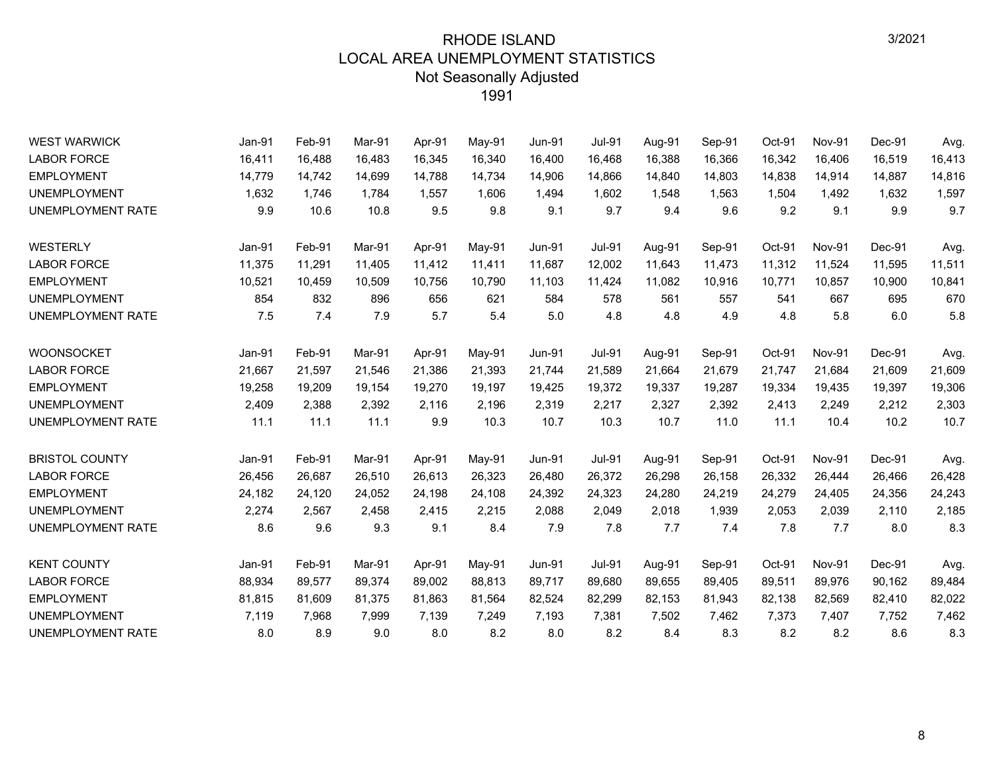| <b>WEST WARWICK</b>      | Jan-91 | Feb-91 | Mar-91 | Apr-91 | May-91 | <b>Jun-91</b> | <b>Jul-91</b> | Aug-91 | Sep-91 | Oct-91 | Nov-91        | Dec-91 | Avg.   |
|--------------------------|--------|--------|--------|--------|--------|---------------|---------------|--------|--------|--------|---------------|--------|--------|
| <b>LABOR FORCE</b>       | 16,411 | 16,488 | 16,483 | 16,345 | 16,340 | 16,400        | 16,468        | 16,388 | 16,366 | 16,342 | 16,406        | 16,519 | 16,413 |
| <b>EMPLOYMENT</b>        | 14,779 | 14,742 | 14,699 | 14,788 | 14,734 | 14,906        | 14,866        | 14,840 | 14,803 | 14,838 | 14,914        | 14,887 | 14,816 |
| <b>UNEMPLOYMENT</b>      | 1,632  | 1,746  | 1.784  | 1,557  | 1,606  | 1,494         | 1,602         | 1,548  | 1,563  | 1,504  | 1,492         | 1,632  | 1,597  |
| <b>UNEMPLOYMENT RATE</b> | 9.9    | 10.6   | 10.8   | 9.5    | 9.8    | 9.1           | 9.7           | 9.4    | 9.6    | 9.2    | 9.1           | 9.9    | 9.7    |
| WESTERLY                 | Jan-91 | Feb-91 | Mar-91 | Apr-91 | May-91 | <b>Jun-91</b> | <b>Jul-91</b> | Aug-91 | Sep-91 | Oct-91 | Nov-91        | Dec-91 | Avg.   |
| <b>LABOR FORCE</b>       | 11,375 | 11,291 | 11,405 | 11,412 | 11,411 | 11,687        | 12,002        | 11,643 | 11,473 | 11,312 | 11,524        | 11,595 | 11,511 |
| <b>EMPLOYMENT</b>        | 10,521 | 10,459 | 10,509 | 10,756 | 10,790 | 11,103        | 11,424        | 11,082 | 10,916 | 10,771 | 10,857        | 10,900 | 10,841 |
| <b>UNEMPLOYMENT</b>      | 854    | 832    | 896    | 656    | 621    | 584           | 578           | 561    | 557    | 541    | 667           | 695    | 670    |
| UNEMPLOYMENT RATE        | 7.5    | 7.4    | 7.9    | 5.7    | 5.4    | 5.0           | 4.8           | 4.8    | 4.9    | 4.8    | 5.8           | 6.0    | 5.8    |
| <b>WOONSOCKET</b>        | Jan-91 | Feb-91 | Mar-91 | Apr-91 | May-91 | <b>Jun-91</b> | <b>Jul-91</b> | Aug-91 | Sep-91 | Oct-91 | <b>Nov-91</b> | Dec-91 | Avg.   |
| <b>LABOR FORCE</b>       | 21,667 | 21,597 | 21,546 | 21,386 | 21,393 | 21,744        | 21,589        | 21,664 | 21,679 | 21,747 | 21,684        | 21,609 | 21,609 |
| <b>EMPLOYMENT</b>        | 19,258 | 19,209 | 19,154 | 19,270 | 19,197 | 19,425        | 19,372        | 19,337 | 19,287 | 19,334 | 19,435        | 19,397 | 19,306 |
| <b>UNEMPLOYMENT</b>      | 2,409  | 2,388  | 2,392  | 2,116  | 2,196  | 2,319         | 2,217         | 2,327  | 2,392  | 2,413  | 2,249         | 2,212  | 2,303  |
| UNEMPLOYMENT RATE        | 11.1   | 11.1   | 11.1   | 9.9    | 10.3   | 10.7          | 10.3          | 10.7   | 11.0   | 11.1   | 10.4          | 10.2   | 10.7   |
| <b>BRISTOL COUNTY</b>    | Jan-91 | Feb-91 | Mar-91 | Apr-91 | May-91 | <b>Jun-91</b> | <b>Jul-91</b> | Aug-91 | Sep-91 | Oct-91 | <b>Nov-91</b> | Dec-91 | Avg.   |
| <b>LABOR FORCE</b>       | 26,456 | 26,687 | 26,510 | 26,613 | 26,323 | 26,480        | 26,372        | 26,298 | 26,158 | 26,332 | 26,444        | 26,466 | 26,428 |
| <b>EMPLOYMENT</b>        | 24,182 | 24,120 | 24,052 | 24,198 | 24,108 | 24,392        | 24,323        | 24,280 | 24,219 | 24,279 | 24,405        | 24,356 | 24,243 |
| <b>UNEMPLOYMENT</b>      | 2,274  | 2,567  | 2,458  | 2,415  | 2,215  | 2,088         | 2,049         | 2,018  | 1,939  | 2,053  | 2,039         | 2,110  | 2,185  |
| UNEMPLOYMENT RATE        | 8.6    | 9.6    | 9.3    | 9.1    | 8.4    | 7.9           | 7.8           | 7.7    | 7.4    | 7.8    | 7.7           | 8.0    | 8.3    |
| <b>KENT COUNTY</b>       | Jan-91 | Feb-91 | Mar-91 | Apr-91 | May-91 | <b>Jun-91</b> | <b>Jul-91</b> | Aug-91 | Sep-91 | Oct-91 | <b>Nov-91</b> | Dec-91 | Avg.   |
| <b>LABOR FORCE</b>       | 88,934 | 89,577 | 89,374 | 89,002 | 88,813 | 89,717        | 89,680        | 89,655 | 89,405 | 89,511 | 89,976        | 90,162 | 89,484 |
| <b>EMPLOYMENT</b>        | 81,815 | 81,609 | 81,375 | 81,863 | 81,564 | 82,524        | 82,299        | 82,153 | 81,943 | 82,138 | 82,569        | 82,410 | 82,022 |
| <b>UNEMPLOYMENT</b>      | 7,119  | 7,968  | 7,999  | 7,139  | 7,249  | 7,193         | 7,381         | 7,502  | 7,462  | 7,373  | 7,407         | 7,752  | 7,462  |
| UNEMPLOYMENT RATE        | 8.0    | 8.9    | 9.0    | 8.0    | 8.2    | 8.0           | 8.2           | 8.4    | 8.3    | 8.2    | 8.2           | 8.6    | 8.3    |